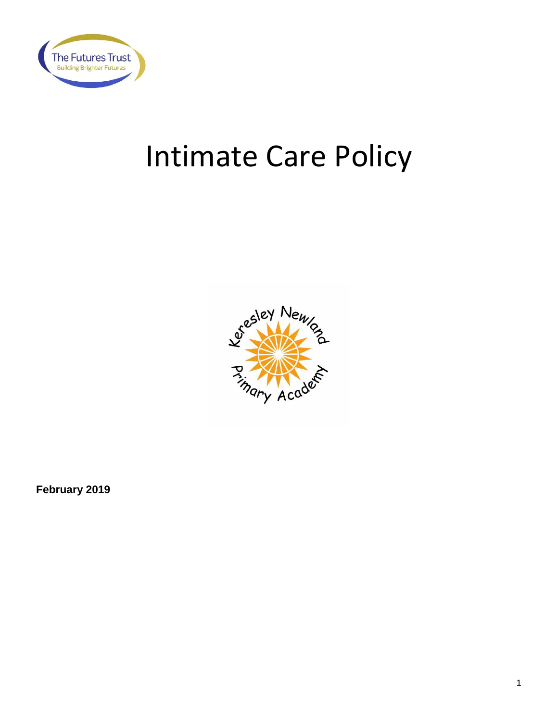

# Intimate Care Policy



**February 2019**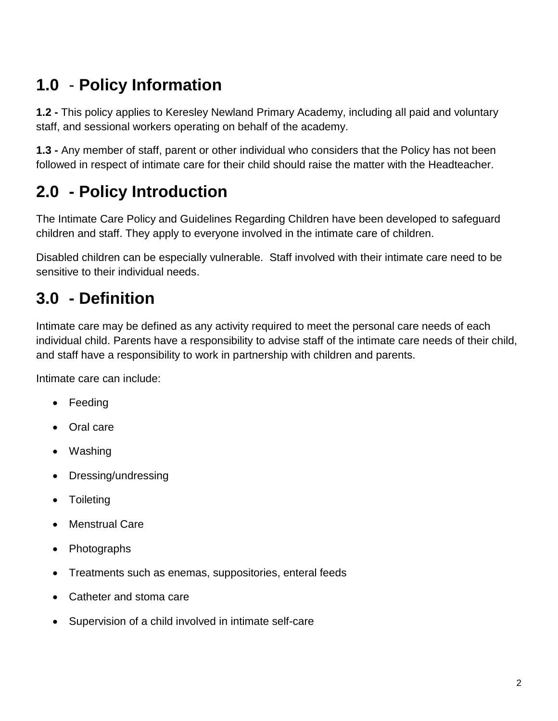# **1.0** - **Policy Information**

**1.2 -** This policy applies to Keresley Newland Primary Academy, including all paid and voluntary staff, and sessional workers operating on behalf of the academy.

**1.3 -** Any member of staff, parent or other individual who considers that the Policy has not been followed in respect of intimate care for their child should raise the matter with the Headteacher.

# **2.0 - Policy Introduction**

The Intimate Care Policy and Guidelines Regarding Children have been developed to safeguard children and staff. They apply to everyone involved in the intimate care of children.

Disabled children can be especially vulnerable. Staff involved with their intimate care need to be sensitive to their individual needs.

# **3.0 - Definition**

Intimate care may be defined as any activity required to meet the personal care needs of each individual child. Parents have a responsibility to advise staff of the intimate care needs of their child, and staff have a responsibility to work in partnership with children and parents.

Intimate care can include:

- Feeding
- Oral care
- Washing
- Dressing/undressing
- Toileting
- Menstrual Care
- Photographs
- Treatments such as enemas, suppositories, enteral feeds
- Catheter and stoma care
- Supervision of a child involved in intimate self-care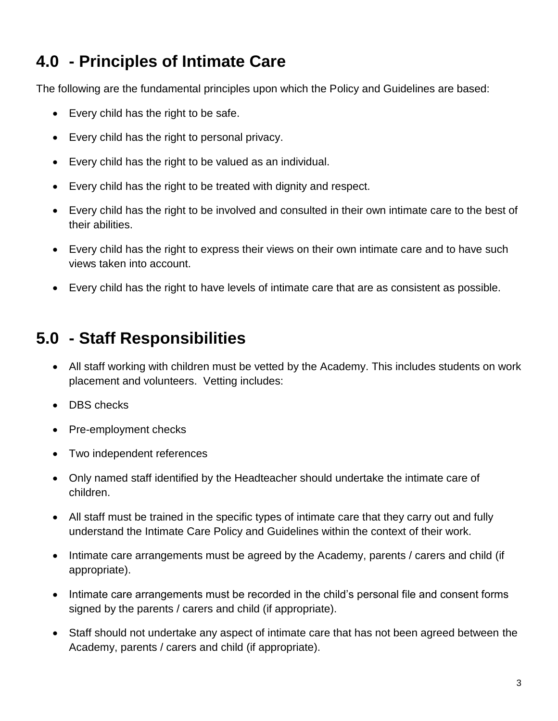# **4.0 - Principles of Intimate Care**

The following are the fundamental principles upon which the Policy and Guidelines are based:

- Every child has the right to be safe.
- Every child has the right to personal privacy.
- Every child has the right to be valued as an individual.
- Every child has the right to be treated with dignity and respect.
- Every child has the right to be involved and consulted in their own intimate care to the best of their abilities.
- Every child has the right to express their views on their own intimate care and to have such views taken into account.
- Every child has the right to have levels of intimate care that are as consistent as possible.

# **5.0 - Staff Responsibilities**

- All staff working with children must be vetted by the Academy. This includes students on work placement and volunteers. Vetting includes:
- DBS checks
- Pre-employment checks
- Two independent references
- Only named staff identified by the Headteacher should undertake the intimate care of children.
- All staff must be trained in the specific types of intimate care that they carry out and fully understand the Intimate Care Policy and Guidelines within the context of their work.
- Intimate care arrangements must be agreed by the Academy, parents / carers and child (if appropriate).
- Intimate care arrangements must be recorded in the child's personal file and consent forms signed by the parents / carers and child (if appropriate).
- Staff should not undertake any aspect of intimate care that has not been agreed between the Academy, parents / carers and child (if appropriate).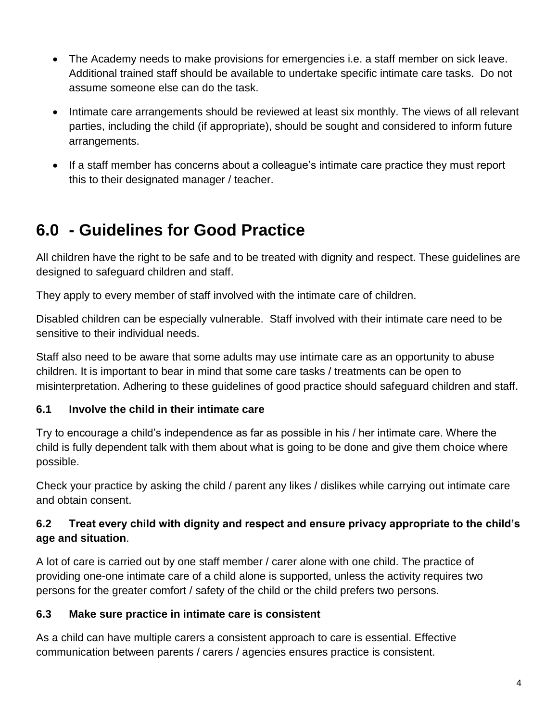- The Academy needs to make provisions for emergencies i.e. a staff member on sick leave. Additional trained staff should be available to undertake specific intimate care tasks. Do not assume someone else can do the task.
- Intimate care arrangements should be reviewed at least six monthly. The views of all relevant parties, including the child (if appropriate), should be sought and considered to inform future arrangements.
- If a staff member has concerns about a colleague's intimate care practice they must report this to their designated manager / teacher.

# **6.0 - Guidelines for Good Practice**

All children have the right to be safe and to be treated with dignity and respect. These guidelines are designed to safeguard children and staff.

They apply to every member of staff involved with the intimate care of children.

Disabled children can be especially vulnerable. Staff involved with their intimate care need to be sensitive to their individual needs.

Staff also need to be aware that some adults may use intimate care as an opportunity to abuse children. It is important to bear in mind that some care tasks / treatments can be open to misinterpretation. Adhering to these guidelines of good practice should safeguard children and staff.

#### **6.1 Involve the child in their intimate care**

Try to encourage a child's independence as far as possible in his / her intimate care. Where the child is fully dependent talk with them about what is going to be done and give them choice where possible.

Check your practice by asking the child / parent any likes / dislikes while carrying out intimate care and obtain consent.

#### **6.2 Treat every child with dignity and respect and ensure privacy appropriate to the child's age and situation**.

A lot of care is carried out by one staff member / carer alone with one child. The practice of providing one-one intimate care of a child alone is supported, unless the activity requires two persons for the greater comfort / safety of the child or the child prefers two persons.

#### **6.3 Make sure practice in intimate care is consistent**

As a child can have multiple carers a consistent approach to care is essential. Effective communication between parents / carers / agencies ensures practice is consistent.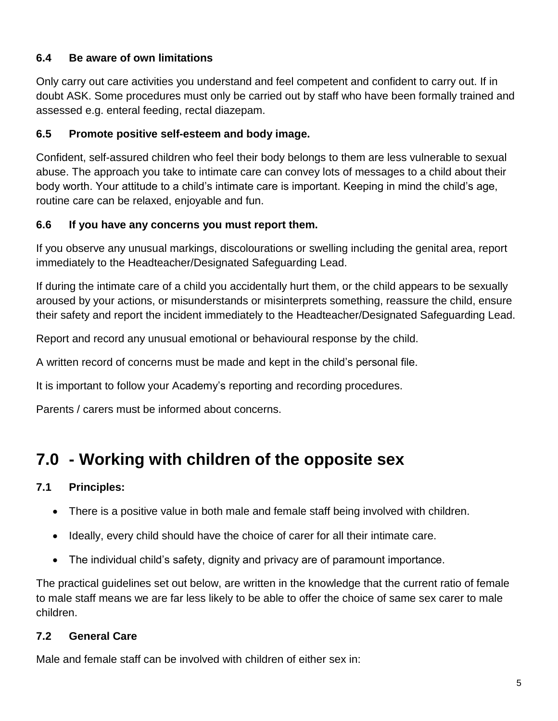#### **6.4 Be aware of own limitations**

Only carry out care activities you understand and feel competent and confident to carry out. If in doubt ASK. Some procedures must only be carried out by staff who have been formally trained and assessed e.g. enteral feeding, rectal diazepam.

#### **6.5 Promote positive self-esteem and body image.**

Confident, self-assured children who feel their body belongs to them are less vulnerable to sexual abuse. The approach you take to intimate care can convey lots of messages to a child about their body worth. Your attitude to a child's intimate care is important. Keeping in mind the child's age, routine care can be relaxed, enjoyable and fun.

#### **6.6 If you have any concerns you must report them.**

If you observe any unusual markings, discolourations or swelling including the genital area, report immediately to the Headteacher/Designated Safeguarding Lead.

If during the intimate care of a child you accidentally hurt them, or the child appears to be sexually aroused by your actions, or misunderstands or misinterprets something, reassure the child, ensure their safety and report the incident immediately to the Headteacher/Designated Safeguarding Lead.

Report and record any unusual emotional or behavioural response by the child.

A written record of concerns must be made and kept in the child's personal file.

It is important to follow your Academy's reporting and recording procedures.

Parents / carers must be informed about concerns.

# **7.0 - Working with children of the opposite sex**

#### **7.1 Principles:**

- There is a positive value in both male and female staff being involved with children.
- Ideally, every child should have the choice of carer for all their intimate care.
- The individual child's safety, dignity and privacy are of paramount importance.

The practical guidelines set out below, are written in the knowledge that the current ratio of female to male staff means we are far less likely to be able to offer the choice of same sex carer to male children.

#### **7.2 General Care**

Male and female staff can be involved with children of either sex in: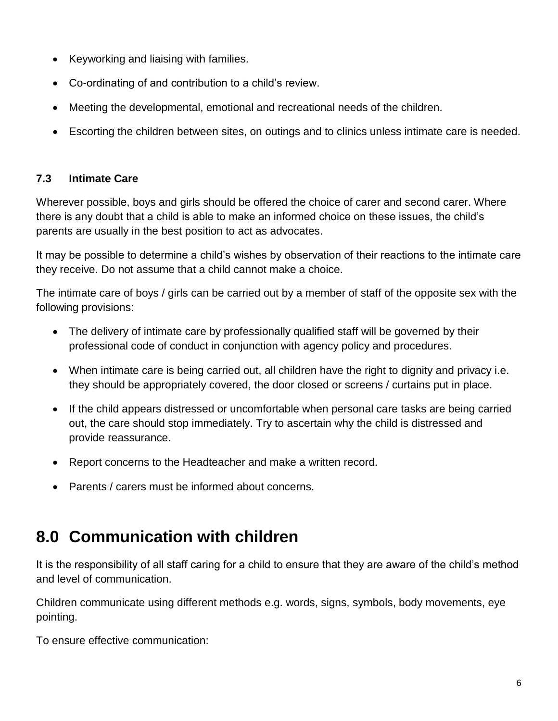- Keyworking and liaising with families.
- Co-ordinating of and contribution to a child's review.
- Meeting the developmental, emotional and recreational needs of the children.
- Escorting the children between sites, on outings and to clinics unless intimate care is needed.

#### **7.3 Intimate Care**

Wherever possible, boys and girls should be offered the choice of carer and second carer. Where there is any doubt that a child is able to make an informed choice on these issues, the child's parents are usually in the best position to act as advocates.

It may be possible to determine a child's wishes by observation of their reactions to the intimate care they receive. Do not assume that a child cannot make a choice.

The intimate care of boys / girls can be carried out by a member of staff of the opposite sex with the following provisions:

- The delivery of intimate care by professionally qualified staff will be governed by their professional code of conduct in conjunction with agency policy and procedures.
- When intimate care is being carried out, all children have the right to dignity and privacy i.e. they should be appropriately covered, the door closed or screens / curtains put in place.
- If the child appears distressed or uncomfortable when personal care tasks are being carried out, the care should stop immediately. Try to ascertain why the child is distressed and provide reassurance.
- Report concerns to the Headteacher and make a written record.
- Parents / carers must be informed about concerns.

### **8.0 Communication with children**

It is the responsibility of all staff caring for a child to ensure that they are aware of the child's method and level of communication.

Children communicate using different methods e.g. words, signs, symbols, body movements, eye pointing.

To ensure effective communication: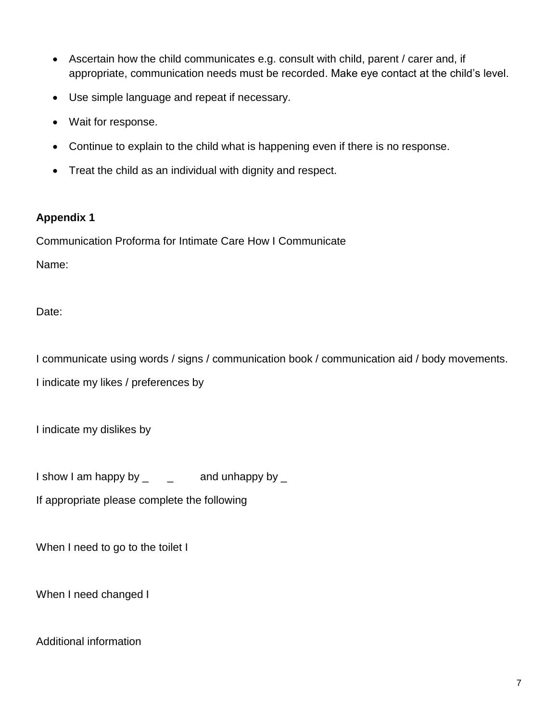- Ascertain how the child communicates e.g. consult with child, parent / carer and, if appropriate, communication needs must be recorded. Make eye contact at the child's level.
- Use simple language and repeat if necessary.
- Wait for response.
- Continue to explain to the child what is happening even if there is no response.
- Treat the child as an individual with dignity and respect.

#### **Appendix 1**

Communication Proforma for Intimate Care How I Communicate

Name:

Date:

I communicate using words / signs / communication book / communication aid / body movements.

I indicate my likes / preferences by

I indicate my dislikes by

I show I am happy by  $\angle$   $\equiv$   $\angle$  and unhappy by  $\angle$ 

If appropriate please complete the following

When I need to go to the toilet I

When I need changed I

Additional information